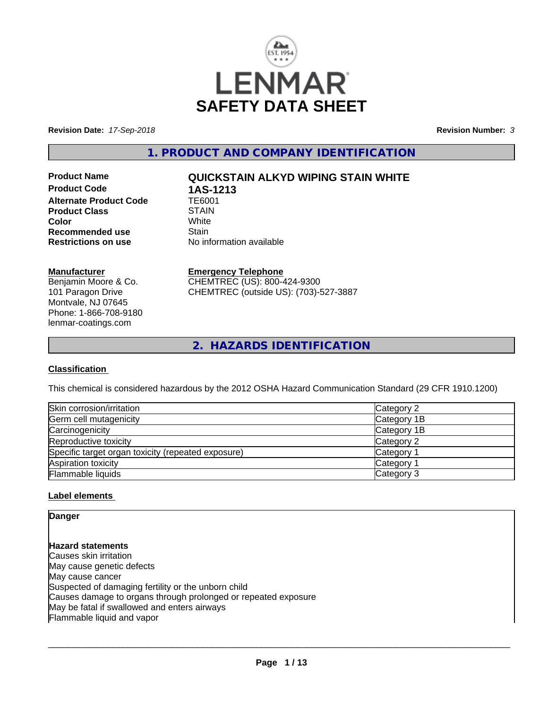

**Revision Date:** *17-Sep-2018* **Revision Number:** *3*

**1. PRODUCT AND COMPANY IDENTIFICATION**

**Product Code 1AS-1213**<br>Alternate Product Code 1E6001 **Alternate Product Code Product Class** STAIN<br> **Color Color** White White **Recommended use** Stain<br> **Restrictions on use** No inf

# **Product Name QUICKSTAIN ALKYD WIPING STAIN WHITE**

**No information available** 

## **Manufacturer**

Benjamin Moore & Co. 101 Paragon Drive Montvale, NJ 07645 Phone: 1-866-708-9180 lenmar-coatings.com

# **Emergency Telephone**

CHEMTREC (US): 800-424-9300 CHEMTREC (outside US): (703)-527-3887

**2. HAZARDS IDENTIFICATION**

## **Classification**

This chemical is considered hazardous by the 2012 OSHA Hazard Communication Standard (29 CFR 1910.1200)

| Skin corrosion/irritation                          | Category 2  |
|----------------------------------------------------|-------------|
| Germ cell mutagenicity                             | Category 1B |
| Carcinogenicity                                    | Category 1B |
| Reproductive toxicity                              | Category 2  |
| Specific target organ toxicity (repeated exposure) | Category 1  |
| Aspiration toxicity                                | Category 1  |
| Flammable liquids                                  | Category 3  |

## **Label elements**

## **Danger**

**Hazard statements** Causes skin irritation May cause genetic defects May cause cancer Suspected of damaging fertility or the unborn child Causes damage to organs through prolonged or repeated exposure May be fatal if swallowed and enters airways Flammable liquid and vapor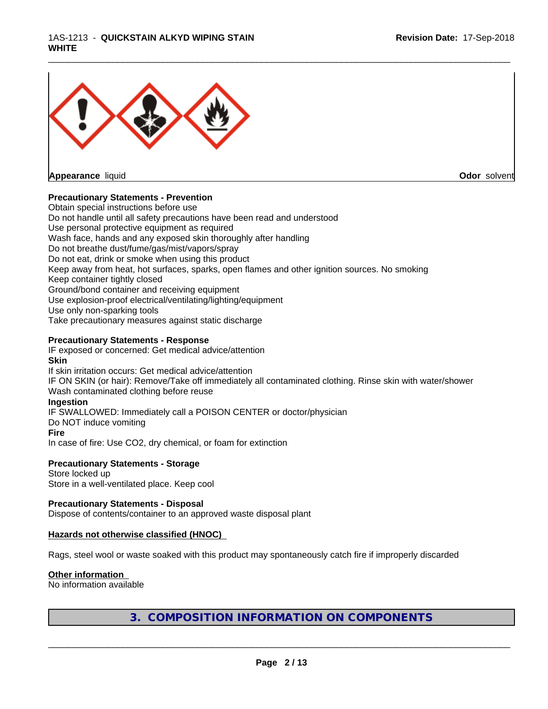

**Appearance** liquid

**Odor** solvent

## **Precautionary Statements - Prevention**

Obtain special instructions before use Do not handle until all safety precautions have been read and understood Use personal protective equipment as required Wash face, hands and any exposed skin thoroughly after handling Do not breathe dust/fume/gas/mist/vapors/spray Do not eat, drink or smoke when using this product Keep away from heat, hot surfaces, sparks, open flames and other ignition sources. No smoking Keep container tightly closed Ground/bond container and receiving equipment Use explosion-proof electrical/ventilating/lighting/equipment Use only non-sparking tools Take precautionary measures against static discharge

\_\_\_\_\_\_\_\_\_\_\_\_\_\_\_\_\_\_\_\_\_\_\_\_\_\_\_\_\_\_\_\_\_\_\_\_\_\_\_\_\_\_\_\_\_\_\_\_\_\_\_\_\_\_\_\_\_\_\_\_\_\_\_\_\_\_\_\_\_\_\_\_\_\_\_\_\_\_\_\_\_\_\_\_\_\_\_\_\_\_\_\_\_

## **Precautionary Statements - Response**

IF exposed or concerned: Get medical advice/attention **Skin** If skin irritation occurs: Get medical advice/attention IF ON SKIN (or hair): Remove/Take off immediately all contaminated clothing. Rinse skin with water/shower Wash contaminated clothing before reuse **Ingestion** IF SWALLOWED: Immediately call a POISON CENTER or doctor/physician Do NOT induce vomiting

## **Fire**

In case of fire: Use CO2, dry chemical, or foam for extinction

**Precautionary Statements - Storage**

Store locked up Store in a well-ventilated place. Keep cool

**Precautionary Statements - Disposal** Dispose of contents/container to an approved waste disposal plant

## **Hazards not otherwise classified (HNOC)**

Rags, steel wool or waste soaked with this product may spontaneously catch fire if improperly discarded

## **Other information**

No information available

**3. COMPOSITION INFORMATION ON COMPONENTS**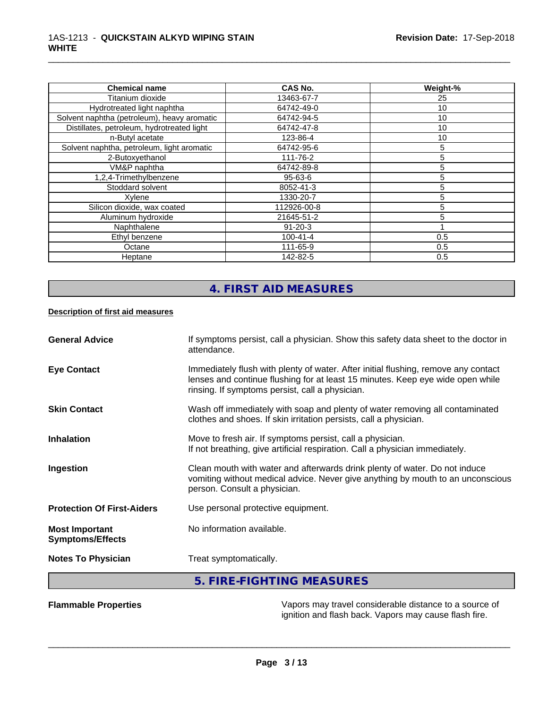| <b>Chemical name</b>                        | <b>CAS No.</b> | Weight-% |
|---------------------------------------------|----------------|----------|
| Titanium dioxide                            | 13463-67-7     | 25       |
| Hydrotreated light naphtha                  | 64742-49-0     | 10       |
| Solvent naphtha (petroleum), heavy aromatic | 64742-94-5     | 10       |
| Distillates, petroleum, hydrotreated light  | 64742-47-8     | 10       |
| n-Butyl acetate                             | 123-86-4       | 10       |
| Solvent naphtha, petroleum, light aromatic  | 64742-95-6     | 5        |
| 2-Butoxyethanol                             | 111-76-2       | 5        |
| VM&P naphtha                                | 64742-89-8     | 5        |
| 1,2,4-Trimethylbenzene                      | 95-63-6        | 5        |
| Stoddard solvent                            | 8052-41-3      | 5        |
| Xylene                                      | 1330-20-7      | 5        |
| Silicon dioxide, wax coated                 | 112926-00-8    | 5        |
| Aluminum hydroxide                          | 21645-51-2     |          |
| Naphthalene                                 | $91 - 20 - 3$  |          |
| Ethyl benzene                               | $100 - 41 - 4$ | 0.5      |
| Octane                                      | 111-65-9       | 0.5      |
| Heptane                                     | 142-82-5       | 0.5      |

\_\_\_\_\_\_\_\_\_\_\_\_\_\_\_\_\_\_\_\_\_\_\_\_\_\_\_\_\_\_\_\_\_\_\_\_\_\_\_\_\_\_\_\_\_\_\_\_\_\_\_\_\_\_\_\_\_\_\_\_\_\_\_\_\_\_\_\_\_\_\_\_\_\_\_\_\_\_\_\_\_\_\_\_\_\_\_\_\_\_\_\_\_

# **4. FIRST AID MEASURES**

## **Description of first aid measures**

| <b>General Advice</b>                            | If symptoms persist, call a physician. Show this safety data sheet to the doctor in<br>attendance.                                                                                                                      |
|--------------------------------------------------|-------------------------------------------------------------------------------------------------------------------------------------------------------------------------------------------------------------------------|
| <b>Eye Contact</b>                               | Immediately flush with plenty of water. After initial flushing, remove any contact<br>lenses and continue flushing for at least 15 minutes. Keep eye wide open while<br>rinsing. If symptoms persist, call a physician. |
| <b>Skin Contact</b>                              | Wash off immediately with soap and plenty of water removing all contaminated<br>clothes and shoes. If skin irritation persists, call a physician.                                                                       |
| <b>Inhalation</b>                                | Move to fresh air. If symptoms persist, call a physician.<br>If not breathing, give artificial respiration. Call a physician immediately.                                                                               |
| Ingestion                                        | Clean mouth with water and afterwards drink plenty of water. Do not induce<br>vomiting without medical advice. Never give anything by mouth to an unconscious<br>person. Consult a physician.                           |
| <b>Protection Of First-Aiders</b>                | Use personal protective equipment.                                                                                                                                                                                      |
| <b>Most Important</b><br><b>Symptoms/Effects</b> | No information available.                                                                                                                                                                                               |
| <b>Notes To Physician</b>                        | Treat symptomatically.                                                                                                                                                                                                  |
|                                                  | 5. FIRE-FIGHTING MEASURES                                                                                                                                                                                               |

**Flammable Properties** Vapors may travel considerable distance to a source of ignition and flash back. Vapors may cause flash fire.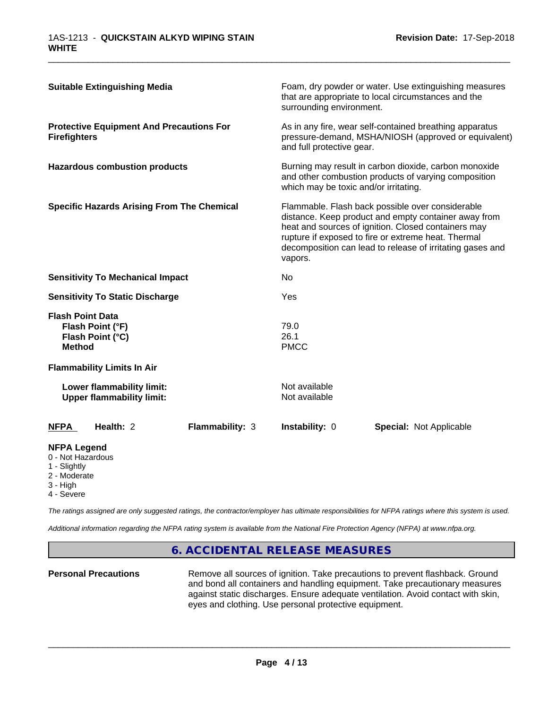| <b>Suitable Extinguishing Media</b>                                              | Foam, dry powder or water. Use extinguishing measures<br>that are appropriate to local circumstances and the<br>surrounding environment.                                                                                                                                                       |
|----------------------------------------------------------------------------------|------------------------------------------------------------------------------------------------------------------------------------------------------------------------------------------------------------------------------------------------------------------------------------------------|
| <b>Protective Equipment And Precautions For</b><br><b>Firefighters</b>           | As in any fire, wear self-contained breathing apparatus<br>pressure-demand, MSHA/NIOSH (approved or equivalent)<br>and full protective gear.                                                                                                                                                   |
| <b>Hazardous combustion products</b>                                             | Burning may result in carbon dioxide, carbon monoxide<br>and other combustion products of varying composition<br>which may be toxic and/or irritating.                                                                                                                                         |
| <b>Specific Hazards Arising From The Chemical</b>                                | Flammable. Flash back possible over considerable<br>distance. Keep product and empty container away from<br>heat and sources of ignition. Closed containers may<br>rupture if exposed to fire or extreme heat. Thermal<br>decomposition can lead to release of irritating gases and<br>vapors. |
| <b>Sensitivity To Mechanical Impact</b>                                          | No                                                                                                                                                                                                                                                                                             |
| <b>Sensitivity To Static Discharge</b>                                           | Yes                                                                                                                                                                                                                                                                                            |
| <b>Flash Point Data</b><br>Flash Point (°F)<br>Flash Point (°C)<br><b>Method</b> | 79.0<br>26.1<br><b>PMCC</b>                                                                                                                                                                                                                                                                    |
| <b>Flammability Limits In Air</b>                                                |                                                                                                                                                                                                                                                                                                |
| Lower flammability limit:<br><b>Upper flammability limit:</b>                    | Not available<br>Not available                                                                                                                                                                                                                                                                 |
| Health: 2<br>Flammability: 3<br><b>NFPA</b>                                      | Instability: 0<br><b>Special: Not Applicable</b>                                                                                                                                                                                                                                               |
| <b>NFPA Legend</b><br>0 - Not Hazardous<br>1 - Slightly<br>2 - Moderate          |                                                                                                                                                                                                                                                                                                |

- 
- 3 High
- 4 Severe

*The ratings assigned are only suggested ratings, the contractor/employer has ultimate responsibilities for NFPA ratings where this system is used.*

*Additional information regarding the NFPA rating system is available from the National Fire Protection Agency (NFPA) at www.nfpa.org.*

# **6. ACCIDENTAL RELEASE MEASURES**

**Personal Precautions** Remove all sources of ignition. Take precautions to prevent flashback. Ground and bond all containers and handling equipment. Take precautionary measures against static discharges. Ensure adequate ventilation. Avoid contact with skin, eyes and clothing. Use personal protective equipment.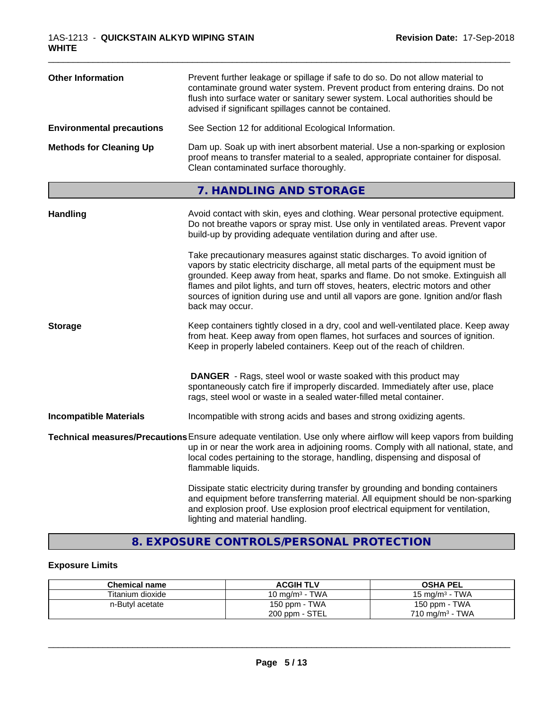| <b>Other Information</b>         | Prevent further leakage or spillage if safe to do so. Do not allow material to<br>contaminate ground water system. Prevent product from entering drains. Do not<br>flush into surface water or sanitary sewer system. Local authorities should be<br>advised if significant spillages cannot be contained. |
|----------------------------------|------------------------------------------------------------------------------------------------------------------------------------------------------------------------------------------------------------------------------------------------------------------------------------------------------------|
| <b>Environmental precautions</b> | See Section 12 for additional Ecological Information.                                                                                                                                                                                                                                                      |
| <b>Methods for Cleaning Up</b>   | Dam up. Soak up with inert absorbent material. Use a non-sparking or explosion<br>proof means to transfer material to a sealed, appropriate container for disposal.<br>Clean contaminated surface thoroughly.                                                                                              |

# **7. HANDLING AND STORAGE**

| <b>Handling</b>               | Avoid contact with skin, eyes and clothing. Wear personal protective equipment.<br>Do not breathe vapors or spray mist. Use only in ventilated areas. Prevent vapor<br>build-up by providing adequate ventilation during and after use.                                                                                                                                                                                                        |
|-------------------------------|------------------------------------------------------------------------------------------------------------------------------------------------------------------------------------------------------------------------------------------------------------------------------------------------------------------------------------------------------------------------------------------------------------------------------------------------|
|                               | Take precautionary measures against static discharges. To avoid ignition of<br>vapors by static electricity discharge, all metal parts of the equipment must be<br>grounded. Keep away from heat, sparks and flame. Do not smoke. Extinguish all<br>flames and pilot lights, and turn off stoves, heaters, electric motors and other<br>sources of ignition during use and until all vapors are gone. Ignition and/or flash<br>back may occur. |
| <b>Storage</b>                | Keep containers tightly closed in a dry, cool and well-ventilated place. Keep away<br>from heat. Keep away from open flames, hot surfaces and sources of ignition.<br>Keep in properly labeled containers. Keep out of the reach of children.                                                                                                                                                                                                  |
|                               | <b>DANGER</b> - Rags, steel wool or waste soaked with this product may<br>spontaneously catch fire if improperly discarded. Immediately after use, place<br>rags, steel wool or waste in a sealed water-filled metal container.                                                                                                                                                                                                                |
| <b>Incompatible Materials</b> | Incompatible with strong acids and bases and strong oxidizing agents.                                                                                                                                                                                                                                                                                                                                                                          |
|                               | Technical measures/Precautions Ensure adequate ventilation. Use only where airflow will keep vapors from building<br>up in or near the work area in adjoining rooms. Comply with all national, state, and<br>local codes pertaining to the storage, handling, dispensing and disposal of<br>flammable liquids.                                                                                                                                 |
|                               | Dissipate static electricity during transfer by grounding and bonding containers<br>and equipment before transferring material. All equipment should be non-sparking<br>and explosion proof. Use explosion proof electrical equipment for ventilation,<br>lighting and material handling.                                                                                                                                                      |

# **8. EXPOSURE CONTROLS/PERSONAL PROTECTION**

## **Exposure Limits**

| <b>Chemical name</b> | <b>ACGIH TLV</b>  | <b>OSHA PEL</b>            |
|----------------------|-------------------|----------------------------|
| Titanium dioxide     | 10 mg/m $3$ - TWA | 15 mg/m $3$ - TWA          |
| n-Butyl acetate      | 150 ppm - TWA     | 150 ppm - TWA              |
|                      | 200 ppm - STEL    | $710 \text{ mg/m}^3$ - TWA |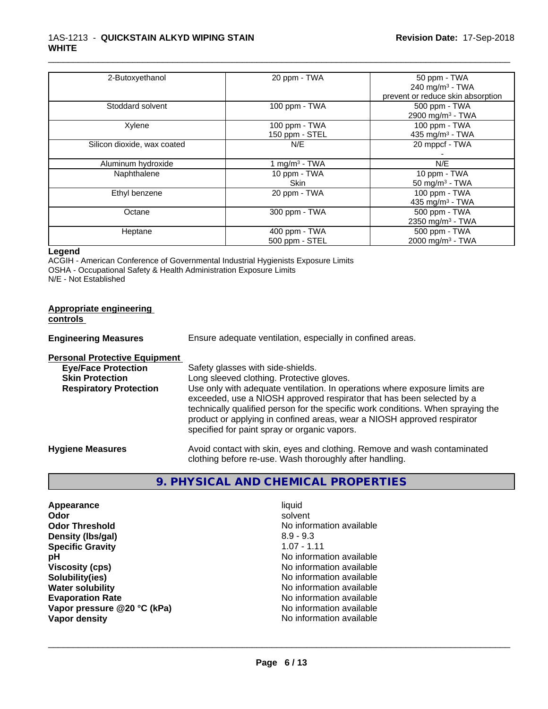| 2-Butoxyethanol             | 20 ppm - TWA     | 50 ppm - TWA                      |
|-----------------------------|------------------|-----------------------------------|
|                             |                  | 240 mg/m $3$ - TWA                |
|                             |                  | prevent or reduce skin absorption |
| Stoddard solvent            | 100 ppm - TWA    | 500 ppm - TWA                     |
|                             |                  | 2900 mg/m <sup>3</sup> - TWA      |
| Xylene                      | 100 ppm - TWA    | 100 ppm - TWA                     |
|                             | 150 ppm - STEL   | 435 mg/m <sup>3</sup> - TWA       |
| Silicon dioxide, wax coated | N/E              | 20 mppcf - TWA                    |
|                             |                  |                                   |
| Aluminum hydroxide          | 1 mg/m $3$ - TWA | N/E                               |
| Naphthalene                 | 10 ppm - TWA     | 10 ppm - TWA                      |
|                             | <b>Skin</b>      | 50 mg/m $3$ - TWA                 |
| Ethyl benzene               | 20 ppm - TWA     | 100 ppm - TWA                     |
|                             |                  | 435 mg/m <sup>3</sup> - TWA       |
| Octane                      | 300 ppm - TWA    | 500 ppm - TWA                     |
|                             |                  | 2350 mg/m <sup>3</sup> - TWA      |
| Heptane                     | 400 ppm - TWA    | 500 ppm - TWA                     |
|                             | 500 ppm - STEL   | 2000 mg/m <sup>3</sup> - TWA      |

\_\_\_\_\_\_\_\_\_\_\_\_\_\_\_\_\_\_\_\_\_\_\_\_\_\_\_\_\_\_\_\_\_\_\_\_\_\_\_\_\_\_\_\_\_\_\_\_\_\_\_\_\_\_\_\_\_\_\_\_\_\_\_\_\_\_\_\_\_\_\_\_\_\_\_\_\_\_\_\_\_\_\_\_\_\_\_\_\_\_\_\_\_

#### **Legend**

ACGIH - American Conference of Governmental Industrial Hygienists Exposure Limits OSHA - Occupational Safety & Health Administration Exposure Limits N/E - Not Established

| <b>Appropriate engineering</b> |  |
|--------------------------------|--|
| controls                       |  |

**Engineering Measures** Ensure adequate ventilation, especially in confined areas.

## **Personal Protective Equipment**

| <b>Eye/Face Protection</b>    | Safety glasses with side-shields.                                                                                                                                                                                                                                                    |
|-------------------------------|--------------------------------------------------------------------------------------------------------------------------------------------------------------------------------------------------------------------------------------------------------------------------------------|
| <b>Skin Protection</b>        | Long sleeved clothing. Protective gloves.                                                                                                                                                                                                                                            |
| <b>Respiratory Protection</b> | Use only with adequate ventilation. In operations where exposure limits are                                                                                                                                                                                                          |
|                               | exceeded, use a NIOSH approved respirator that has been selected by a<br>technically qualified person for the specific work conditions. When spraying the<br>product or applying in confined areas, wear a NIOSH approved respirator<br>specified for paint spray or organic vapors. |
| <b>Hygiene Measures</b>       | Avoid contact with skin, eyes and clothing. Remove and wash contaminated<br>clothing before re-use. Wash thoroughly after handling.                                                                                                                                                  |

## **9. PHYSICAL AND CHEMICAL PROPERTIES**

| Appearance                  | liquid                   |
|-----------------------------|--------------------------|
| Odor                        | solvent                  |
| <b>Odor Threshold</b>       | No information available |
| Density (Ibs/gal)           | $8.9 - 9.3$              |
| <b>Specific Gravity</b>     | $1.07 - 1.11$            |
| рH                          | No information available |
| <b>Viscosity (cps)</b>      | No information available |
| Solubility(ies)             | No information available |
| <b>Water solubility</b>     | No information available |
| <b>Evaporation Rate</b>     | No information available |
| Vapor pressure @20 °C (kPa) | No information available |
| Vapor density               | No information available |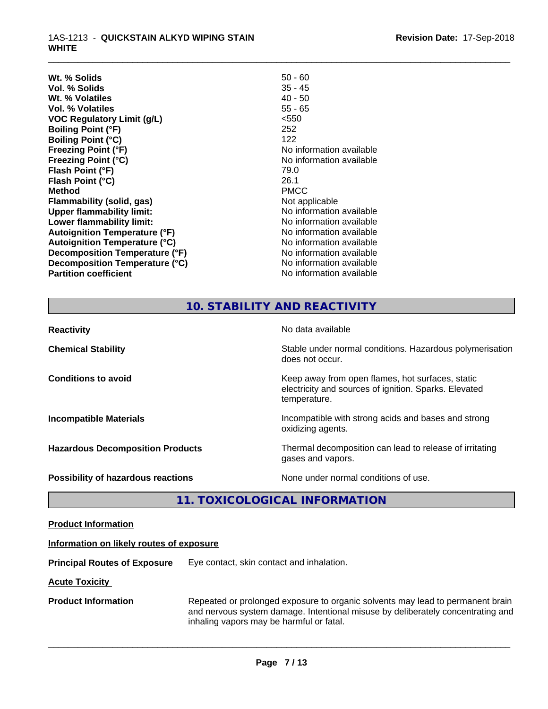| Wt. % Solids                         | $50 - 60$                |
|--------------------------------------|--------------------------|
| Vol. % Solids                        | $35 - 45$                |
| Wt. % Volatiles                      | $40 - 50$                |
| Vol. % Volatiles                     | $55 - 65$                |
| <b>VOC Regulatory Limit (g/L)</b>    | < 550                    |
| <b>Boiling Point (°F)</b>            | 252                      |
| <b>Boiling Point (°C)</b>            | 122                      |
| <b>Freezing Point (°F)</b>           | No information available |
| <b>Freezing Point (°C)</b>           | No information available |
| Flash Point (°F)                     | 79.0                     |
| Flash Point (°C)                     | 26.1                     |
| <b>Method</b>                        | <b>PMCC</b>              |
| Flammability (solid, gas)            | Not applicable           |
| <b>Upper flammability limit:</b>     | No information available |
| Lower flammability limit:            | No information available |
| <b>Autoignition Temperature (°F)</b> | No information available |
| <b>Autoignition Temperature (°C)</b> | No information available |
| Decomposition Temperature (°F)       | No information available |
| Decomposition Temperature (°C)       | No information available |
| <b>Partition coefficient</b>         | No information available |
|                                      |                          |

\_\_\_\_\_\_\_\_\_\_\_\_\_\_\_\_\_\_\_\_\_\_\_\_\_\_\_\_\_\_\_\_\_\_\_\_\_\_\_\_\_\_\_\_\_\_\_\_\_\_\_\_\_\_\_\_\_\_\_\_\_\_\_\_\_\_\_\_\_\_\_\_\_\_\_\_\_\_\_\_\_\_\_\_\_\_\_\_\_\_\_\_\_

# **10. STABILITY AND REACTIVITY**

| <b>Reactivity</b>                       | No data available                                                                                                         |
|-----------------------------------------|---------------------------------------------------------------------------------------------------------------------------|
| <b>Chemical Stability</b>               | Stable under normal conditions. Hazardous polymerisation<br>does not occur.                                               |
| <b>Conditions to avoid</b>              | Keep away from open flames, hot surfaces, static<br>electricity and sources of ignition. Sparks. Elevated<br>temperature. |
| <b>Incompatible Materials</b>           | Incompatible with strong acids and bases and strong<br>oxidizing agents.                                                  |
| <b>Hazardous Decomposition Products</b> | Thermal decomposition can lead to release of irritating<br>gases and vapors.                                              |
| Possibility of hazardous reactions      | None under normal conditions of use.                                                                                      |

## **11. TOXICOLOGICAL INFORMATION**

| <b>Product Information</b> |  |
|----------------------------|--|
|                            |  |

## **Information on likely routes of exposure**

**Principal Routes of Exposure** Eye contact, skin contact and inhalation.

**Acute Toxicity** 

**Product Information** Repeated or prolonged exposure to organic solvents may lead to permanent brain and nervous system damage. Intentional misuse by deliberately concentrating and inhaling vapors may be harmful or fatal.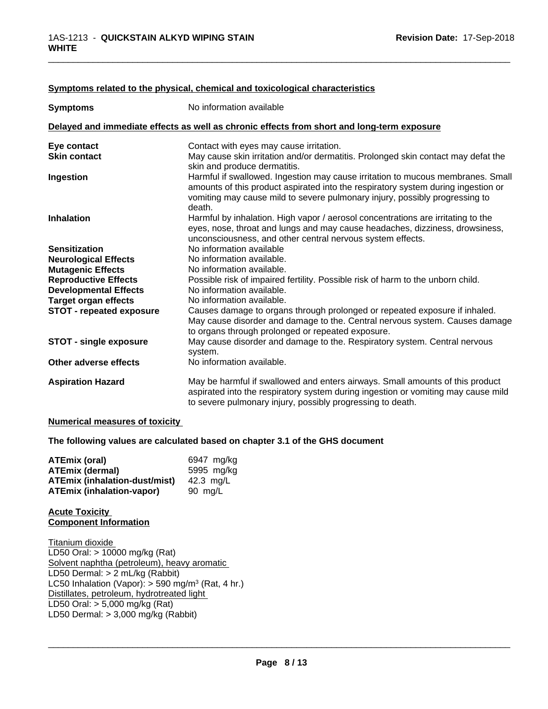| <b>Symptoms</b>                 | No information available                                                                                                                                                                                                                                      |
|---------------------------------|---------------------------------------------------------------------------------------------------------------------------------------------------------------------------------------------------------------------------------------------------------------|
|                                 | Delayed and immediate effects as well as chronic effects from short and long-term exposure                                                                                                                                                                    |
| Eye contact                     | Contact with eyes may cause irritation.                                                                                                                                                                                                                       |
| <b>Skin contact</b>             | May cause skin irritation and/or dermatitis. Prolonged skin contact may defat the<br>skin and produce dermatitis.                                                                                                                                             |
| Ingestion                       | Harmful if swallowed. Ingestion may cause irritation to mucous membranes. Small<br>amounts of this product aspirated into the respiratory system during ingestion or<br>vomiting may cause mild to severe pulmonary injury, possibly progressing to<br>death. |
| <b>Inhalation</b>               | Harmful by inhalation. High vapor / aerosol concentrations are irritating to the<br>eyes, nose, throat and lungs and may cause headaches, dizziness, drowsiness,<br>unconsciousness, and other central nervous system effects.                                |
| <b>Sensitization</b>            | No information available                                                                                                                                                                                                                                      |
| <b>Neurological Effects</b>     | No information available.                                                                                                                                                                                                                                     |
| <b>Mutagenic Effects</b>        | No information available.                                                                                                                                                                                                                                     |
| <b>Reproductive Effects</b>     | Possible risk of impaired fertility. Possible risk of harm to the unborn child.                                                                                                                                                                               |
| <b>Developmental Effects</b>    | No information available.                                                                                                                                                                                                                                     |
| <b>Target organ effects</b>     | No information available.                                                                                                                                                                                                                                     |
| <b>STOT - repeated exposure</b> | Causes damage to organs through prolonged or repeated exposure if inhaled.<br>May cause disorder and damage to the. Central nervous system. Causes damage<br>to organs through prolonged or repeated exposure.                                                |
| <b>STOT - single exposure</b>   | May cause disorder and damage to the. Respiratory system. Central nervous<br>system.                                                                                                                                                                          |
| Other adverse effects           | No information available.                                                                                                                                                                                                                                     |
| <b>Aspiration Hazard</b>        | May be harmful if swallowed and enters airways. Small amounts of this product<br>aspirated into the respiratory system during ingestion or vomiting may cause mild<br>to severe pulmonary injury, possibly progressing to death.                              |

## **Symptoms** related to the physical, chemical and toxicological characteristics

## **Numerical measures of toxicity**

**The following values are calculated based on chapter 3.1 of the GHS document**

| <b>ATEmix (oral)</b>                 | 6947 mg/kg |
|--------------------------------------|------------|
| <b>ATEmix (dermal)</b>               | 5995 mg/kg |
| <b>ATEmix (inhalation-dust/mist)</b> | 42.3 ma/L  |
| <b>ATEmix (inhalation-vapor)</b>     | 90 mg/L    |

## **Acute Toxicity Component Information**

Titanium dioxide LD50 Oral: > 10000 mg/kg (Rat) Solvent naphtha (petroleum), heavy aromatic LD50 Dermal: > 2 mL/kg (Rabbit) LC50 Inhalation (Vapor): > 590 mg/m<sup>3</sup> (Rat, 4 hr.) Distillates, petroleum, hydrotreated light LD50 Oral: > 5,000 mg/kg (Rat) LD50 Dermal: > 3,000 mg/kg (Rabbit)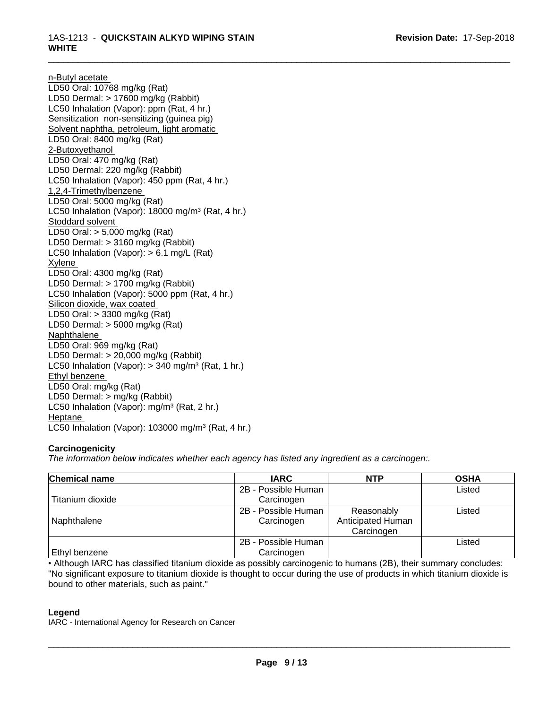n-Butyl acetate LD50 Oral: 10768 mg/kg (Rat) LD50 Dermal: > 17600 mg/kg (Rabbit) LC50 Inhalation (Vapor): ppm (Rat, 4 hr.) Sensitization non-sensitizing (guinea pig) Solvent naphtha, petroleum, light aromatic LD50 Oral: 8400 mg/kg (Rat) 2-Butoxyethanol LD50 Oral: 470 mg/kg (Rat) LD50 Dermal: 220 mg/kg (Rabbit) LC50 Inhalation (Vapor): 450 ppm (Rat, 4 hr.) 1,2,4-Trimethylbenzene LD50 Oral: 5000 mg/kg (Rat) LC50 Inhalation (Vapor): 18000 mg/m<sup>3</sup> (Rat, 4 hr.) Stoddard solvent LD50 Oral: > 5,000 mg/kg (Rat) LD50 Dermal: > 3160 mg/kg (Rabbit) LC50 Inhalation (Vapor): > 6.1 mg/L (Rat) Xylene LD50 Oral: 4300 mg/kg (Rat) LD50 Dermal: > 1700 mg/kg (Rabbit) LC50 Inhalation (Vapor): 5000 ppm (Rat, 4 hr.) Silicon dioxide, wax coated LD50 Oral: > 3300 mg/kg (Rat) LD50 Dermal: > 5000 mg/kg (Rat) Naphthalene LD50 Oral: 969 mg/kg (Rat) LD50 Dermal: > 20,000 mg/kg (Rabbit) LC50 Inhalation (Vapor): > 340 mg/m<sup>3</sup> (Rat, 1 hr.) Ethyl benzene LD50 Oral: mg/kg (Rat) LD50 Dermal: > mg/kg (Rabbit) LC50 Inhalation (Vapor): mg/m<sup>3</sup> (Rat, 2 hr.) Heptane LC50 Inhalation (Vapor): 103000 mg/m<sup>3</sup> (Rat, 4 hr.)

## **Carcinogenicity**

*The information below indicateswhether each agency has listed any ingredient as a carcinogen:.*

| Chemical name    | <b>IARC</b>                       | <b>NTP</b>                                    | <b>OSHA</b> |
|------------------|-----------------------------------|-----------------------------------------------|-------------|
|                  | 2B - Possible Human               |                                               | Listed      |
| Titanium dioxide | Carcinogen                        |                                               |             |
| Naphthalene      | 2B - Possible Human<br>Carcinogen | Reasonably<br>Anticipated Human<br>Carcinogen | Listed      |
| Ethyl benzene    | 2B - Possible Human<br>Carcinogen |                                               | Listed      |

• Although IARC has classified titanium dioxide as possibly carcinogenic to humans (2B), their summary concludes: "No significant exposure to titanium dioxide is thought to occur during the use of products in which titanium dioxide is bound to other materials, such as paint."

## **Legend**

IARC - International Agency for Research on Cancer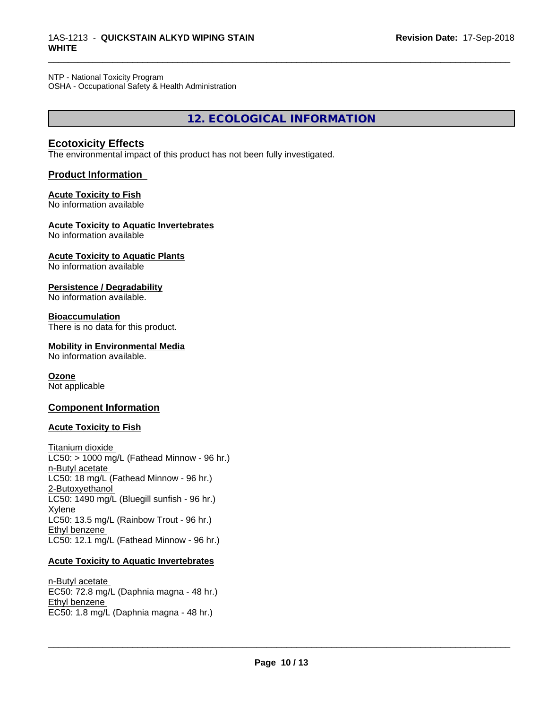## NTP - National Toxicity Program

OSHA - Occupational Safety & Health Administration

**12. ECOLOGICAL INFORMATION**

\_\_\_\_\_\_\_\_\_\_\_\_\_\_\_\_\_\_\_\_\_\_\_\_\_\_\_\_\_\_\_\_\_\_\_\_\_\_\_\_\_\_\_\_\_\_\_\_\_\_\_\_\_\_\_\_\_\_\_\_\_\_\_\_\_\_\_\_\_\_\_\_\_\_\_\_\_\_\_\_\_\_\_\_\_\_\_\_\_\_\_\_\_

## **Ecotoxicity Effects**

The environmental impact of this product has not been fully investigated.

## **Product Information**

# **Acute Toxicity to Fish**

No information available

## **Acute Toxicity to Aquatic Invertebrates**

No information available

#### **Acute Toxicity to Aquatic Plants** No information available

#### **Persistence / Degradability** No information available.

#### **Bioaccumulation** There is no data for this product.

#### **Mobility in Environmental Media** No information available.

# **Ozone**

Not applicable

## **Component Information**

## **Acute Toxicity to Fish**

## Titanium dioxide  $LC50:$  > 1000 mg/L (Fathead Minnow - 96 hr.) n-Butyl acetate LC50: 18 mg/L (Fathead Minnow - 96 hr.) 2-Butoxyethanol LC50: 1490 mg/L (Bluegill sunfish - 96 hr.) Xylene LC50: 13.5 mg/L (Rainbow Trout - 96 hr.) Ethyl benzene LC50: 12.1 mg/L (Fathead Minnow - 96 hr.)

## **Acute Toxicity to Aquatic Invertebrates**

n-Butyl acetate EC50: 72.8 mg/L (Daphnia magna - 48 hr.) Ethyl benzene EC50: 1.8 mg/L (Daphnia magna - 48 hr.)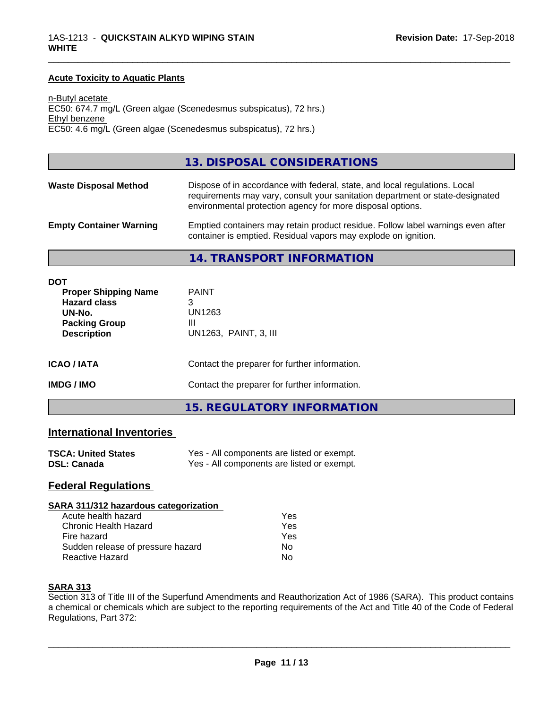## **Acute Toxicity to Aquatic Plants**

n-Butyl acetate EC50: 674.7 mg/L (Green algae (Scenedesmus subspicatus), 72 hrs.) Ethyl benzene EC50: 4.6 mg/L (Green algae (Scenedesmus subspicatus), 72 hrs.)

## **13. DISPOSAL CONSIDERATIONS**

| <b>Waste Disposal Method</b>   | Dispose of in accordance with federal, state, and local regulations. Local<br>requirements may vary, consult your sanitation department or state-designated<br>environmental protection agency for more disposal options. |
|--------------------------------|---------------------------------------------------------------------------------------------------------------------------------------------------------------------------------------------------------------------------|
| <b>Empty Container Warning</b> | Emptied containers may retain product residue. Follow label warnings even after<br>container is emptied. Residual vapors may explode on ignition.                                                                         |

\_\_\_\_\_\_\_\_\_\_\_\_\_\_\_\_\_\_\_\_\_\_\_\_\_\_\_\_\_\_\_\_\_\_\_\_\_\_\_\_\_\_\_\_\_\_\_\_\_\_\_\_\_\_\_\_\_\_\_\_\_\_\_\_\_\_\_\_\_\_\_\_\_\_\_\_\_\_\_\_\_\_\_\_\_\_\_\_\_\_\_\_\_

#### **14. TRANSPORT INFORMATION**

| <b>DOT</b><br><b>Proper Shipping Name</b><br><b>Hazard class</b><br>UN-No.<br><b>Packing Group</b><br><b>Description</b> | <b>PAINT</b><br>3<br>UN1263<br>Ш<br>UN1263, PAINT, 3, III |
|--------------------------------------------------------------------------------------------------------------------------|-----------------------------------------------------------|
| <b>ICAO/IATA</b>                                                                                                         | Contact the preparer for further information.             |
| <b>IMDG / IMO</b>                                                                                                        | Contact the preparer for further information.             |
|                                                                                                                          | <b>15. REGULATORY INFORMATION</b>                         |

## **International Inventories**

| <b>TSCA: United States</b> | Yes - All components are listed or exempt. |
|----------------------------|--------------------------------------------|
| <b>DSL: Canada</b>         | Yes - All components are listed or exempt. |

## **Federal Regulations**

#### **SARA 311/312 hazardous categorization**

| Acute health hazard               | Yes |  |
|-----------------------------------|-----|--|
| Chronic Health Hazard             | Yes |  |
| Fire hazard                       | Yes |  |
| Sudden release of pressure hazard | Nο  |  |
| Reactive Hazard                   | N٥  |  |

### **SARA 313**

Section 313 of Title III of the Superfund Amendments and Reauthorization Act of 1986 (SARA). This product contains a chemical or chemicals which are subject to the reporting requirements of the Act and Title 40 of the Code of Federal Regulations, Part 372: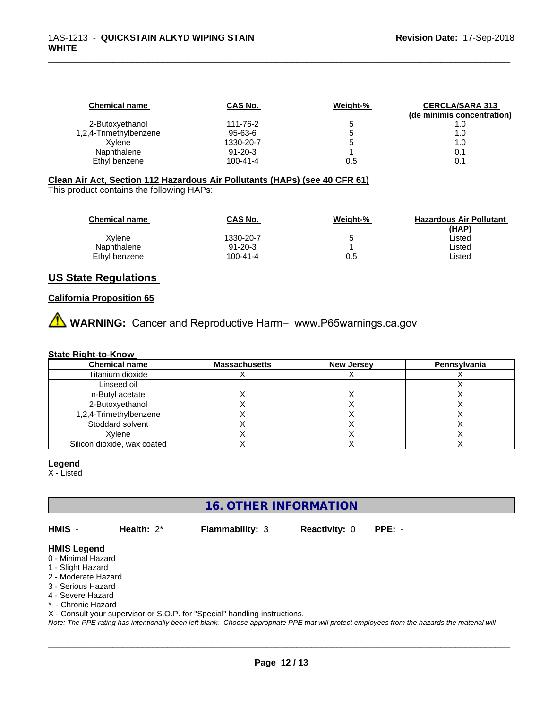| CAS No.        | Weight-% | <b>CERCLA/SARA 313</b>     |
|----------------|----------|----------------------------|
|                |          | (de minimis concentration) |
| 111-76-2       |          | 1.0                        |
| 95-63-6        |          | 1.0                        |
| 1330-20-7      |          | 1.0                        |
| $91 - 20 - 3$  |          | 0.1                        |
| $100 - 41 - 4$ | 0.5      |                            |
|                |          |                            |

## **Clean Air Act,Section 112 Hazardous Air Pollutants (HAPs) (see 40 CFR 61)**

This product contains the following HAPs:

| <b>Chemical name</b> | CAS No.       | Weight-% | <b>Hazardous Air Pollutant</b> |
|----------------------|---------------|----------|--------------------------------|
|                      |               |          | (HAP)                          |
| Xvlene               | 1330-20-7     | 5        | Listed                         |
| Naphthalene          | $91 - 20 - 3$ |          | Listed                         |
| Ethyl benzene        | 100-41-4      | 0.5      | Listed                         |

## **US State Regulations**

## **California Proposition 65**

**A** WARNING: Cancer and Reproductive Harm– www.P65warnings.ca.gov

### **State Right-to-Know**

| <b>Chemical name</b>        | <b>Massachusetts</b> | <b>New Jersey</b> | Pennsylvania |
|-----------------------------|----------------------|-------------------|--------------|
| Titanium dioxide            |                      |                   |              |
| Linseed oil                 |                      |                   |              |
| n-Butyl acetate             |                      |                   |              |
| 2-Butoxvethanol             |                      |                   |              |
| 1,2,4-Trimethylbenzene      |                      |                   |              |
| Stoddard solvent            |                      |                   |              |
| Xvlene                      |                      |                   |              |
| Silicon dioxide, wax coated |                      |                   |              |

#### **Legend**

X - Listed

# **16. OTHER INFORMATION**

**HMIS** - **Health:** 2\* **Flammability:** 3 **Reactivity:** 0 **PPE:** -

 $\overline{\phantom{a}}$  ,  $\overline{\phantom{a}}$  ,  $\overline{\phantom{a}}$  ,  $\overline{\phantom{a}}$  ,  $\overline{\phantom{a}}$  ,  $\overline{\phantom{a}}$  ,  $\overline{\phantom{a}}$  ,  $\overline{\phantom{a}}$  ,  $\overline{\phantom{a}}$  ,  $\overline{\phantom{a}}$  ,  $\overline{\phantom{a}}$  ,  $\overline{\phantom{a}}$  ,  $\overline{\phantom{a}}$  ,  $\overline{\phantom{a}}$  ,  $\overline{\phantom{a}}$  ,  $\overline{\phantom{a}}$ 

#### **HMIS Legend**

- 0 Minimal Hazard
- 1 Slight Hazard
- 2 Moderate Hazard
- 3 Serious Hazard
- 4 Severe Hazard
- \* Chronic Hazard
- X Consult your supervisor or S.O.P. for "Special" handling instructions.

*Note: The PPE rating has intentionally been left blank. Choose appropriate PPE that will protect employees from the hazards the material will*